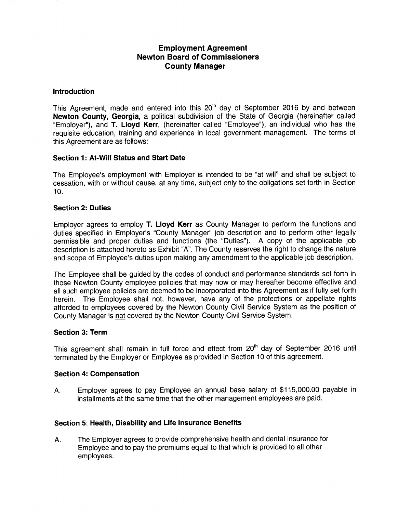# Employment Agreement Newton Board of Commissioners County Manager

#### Introduction

This Agreement, made and entered into this  $20<sup>th</sup>$  day of September 2016 by and between Newton County, Georgia, a political subdivision of the State of Georgia (hereinafter called "Employer"), and T. Lloyd Kerr, (hereinafter called "Employee"), an individual who has the requisite education, training and experience in local government management. The terms of this Agreement are as follows:

## Section 1: At-Will Status and Start Date

The Employee's employment with Employer is intended to be "at will" and shall be subject to cessation, with or without cause, at any time, subject only to the obligations set forth in Section 10.

## Section 2: Duties

Employer agrees to employ T. Lloyd Kerr as County Manager to perform the functions and duties specified in Employer's "County Manager" job description and to perform other legally permissible and proper duties and functions (the " Duties"). A copy of the applicable job description is attached hereto as Exhibit "A". The County reserves the right to change the nature and scope of Employee's duties upon making any amendment to the applicable job description.

The Employee shall be guided by the codes of conduct and performance standards set forth in those Newton County employee policies that may now or may hereafter become effective and all such employee policies are deemed to be incorporated into this Agreement as if fully set forth herein. The Employee shall not, however, have any of the protections or appellate rights afforded to employees covered by the Newton County Civil Service System as the position of County Manager is not covered by the Newton County Civil Service System.

#### Section 3: Term

This agreement shall remain in full force and effect from 20<sup>th</sup> day of September 2016 until terminated by the Employer or Employee as provided in Section 10 of this agreement.

#### Section 4: Compensation

A. Employer agrees to pay Employee an annual base salary of \$115,000.00 payable in installments at the same time that the other management employees are paid.

#### Section 5: Health, Disability and Life Insurance Benefits

A. The Employer agrees to provide comprehensive health and dental insurance for Employee and to pay the premiums equal to that which is provided to all other employees.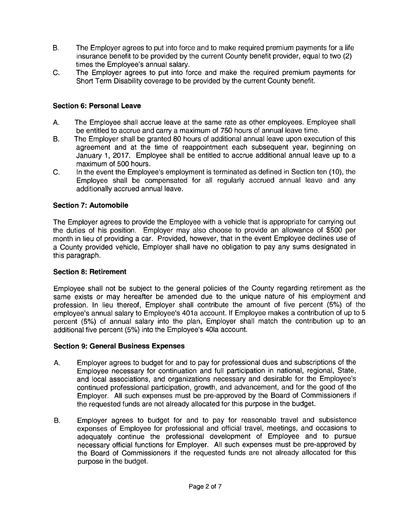- B. The Employer agrees to put into force and to make required premium payments for a life insurance benefit to be provided by the current County benefit provider, equal to two ( 2) times the Employee's annual salary.
- C. The Employer agrees to put into force and make the required premium payments for Short Term Disability coverage to be provided by the current County benefit.

## Section 6: Personal Leave

- A. The Employee shall accrue leave at the same rate as other employees. Employee shall be entitled to accrue and carry a maximum of 750 hours of annual leave time.
- B. The Employer shall be granted 80 hours of additional annual leave upon execution of this agreement and at the time of reappointment each subsequent year, beginning on January 1, 2017. Employee shall be entitled to accrue additional annual leave up to a maximum of 500 hours.
- C. In the event the Employee's employment is terminated as defined in Section ten ( 10), the Employee shall be compensated for all regularly accrued annual leave and any additionally accrued annual leave.

## Section 7: Automobile

The Employer agrees to provide the Employee with a vehicle that is appropriate for carrying out the duties of his position. Employer may also choose to provide an allowance of \$500 per month in lieu of providing a car. Provided, however, that in the event Employee declines use of a County provided vehicle, Employer shall have no obligation to pay any sums designated in this paragraph.

## Section 8: Retirement

Employee shall not be subject to the general policies of the County regarding retirement as the same exists or may hereafter be amended due to the unique nature of his employment and profession. In lieu thereof, Employer shall contribute the amount of five percent (5%) of the employee's annual salary to Employee's 401a account. If Employee makes a contribution of up to 5 percent (5%) of annual salary into the plan, Employer shall match the contribution up to an additional five percent (5%) into the Employee's 401a account.

#### Section 9: General Business Expenses

- A. Employer agrees to budget for and to pay for professional dues and subscriptions of the Employee necessary for continuation and full participation in national, regional, State, and local associations, and organizations necessary and desirable for the Employee's continued professional participation, growth, and advancement, and for the good of the Employer. All such expenses must be pre-approved by the Board of Commissioners if the requested funds are not already allocated for this purpose in the budget.
- B. Employer agrees to budget for and to pay for reasonable travel and subsistence expenses of Employee for professional and official travel, meetings, and occasions to adequately continue the professional development of Employee and to pursue necessary official functions for Employer. All such expenses must be pre-approved by the Board of Commissioners if the requested funds are not already allocated for this purpose in the budget.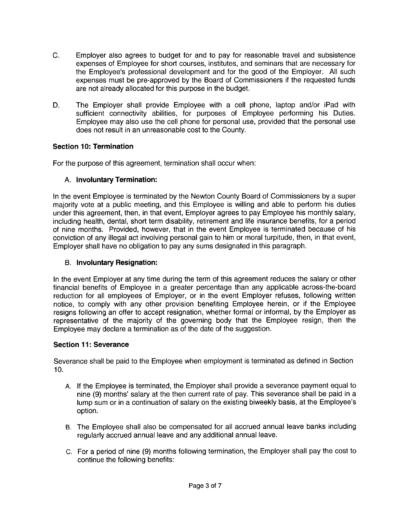- C. Employer also agrees to budget for and to pay for reasonable travel and subsistence expenses of Employee for short courses, institutes, and seminars that are necessary for the Employee's professional development and for the good of the Employer. All such expenses must be pre-approved by the Board of Commissioners if the requested funds are not already allocated for this purpose in the budget.
- D. The Employer shall provide Employee with a cell phone, laptop and/or iPad with sufficient connectivity abilities, for purposes of Employee performing his Duties. Employee may also use the cell phone for personal use, provided that the personal use does not result in an unreasonable cost to the County.

# Section 10: Termination

For the purpose of this agreement, termination shall occur when:

# A. Involuntary Termination:

In the event Employee is terminated by the Newton County Board of Commissioners by a super majority vote at a public meeting, and this Employee is willing and able to perform his duties under this agreement, then, in that event, Employer agrees to pay Employee his monthly salary, including health, dental, short term disability, retirement and life insurance benefits, for a period of nine months. Provided, however, that in the event Employee is terminated because of his conviction of any illegal act involving personal gain to him or moral turpitude, then, in that event, Employer shall have no obligation to pay any sums designated in this paragraph.

## B. Involuntary Resignation:

In the event Employer at any time during the term of this agreement reduces the salary or other financial benefits of Employee in a greater percentage than any applicable across-the-board reduction for all employees of Employer, or in the event Employer refuses, following written notice, to comply with any other provision benefiting Employee herein, or if the Employee resigns following an offer to accept resignation, whether formal or informal, by the Employer as representative of the majority of the governing body that the Employee resign, then the Employee may declare a termination as of the date of the suggestion.

## Section 11: Severance

Severance shall be paid to the Employee when employment is terminated as defined in Section 10.

- A. If the Employee is terminated, the Employer shall provide a severance payment equal to nine (9) months' salary at the then current rate of pay. This severance shall be paid in a lump sum or in a continuation of salary on the existing biweekly basis, at the Employee's option.
- B. The Employee shall also be compensated for all accrued annual leave banks including regularly accrued annual leave and any additional annual leave.
- C. For a period of nine (9) months following termination, the Employer shall pay the cost to continue the following benefits: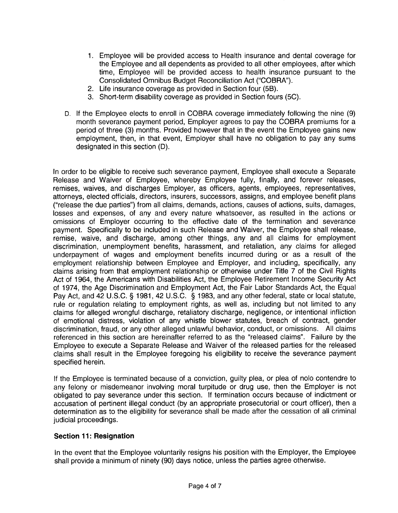- 1. Employee will be provided access to Health insurance and dental coverage for the Employee and all dependents as provided to all other employees, after which time, Employee will be provided access to health insurance pursuant to the Consolidated Omnibus Budget Reconciliation Act ("COBRA").
- 2. Life insurance coverage as provided in Section four (56).
- 3. Short-term disability coverage as provided in Section fours (5C).
- D. If the Employee elects to enroll in COBRA coverage immediately following the nine (9) month severance payment period, Employer agrees to pay the COBRA premiums for a period of three (3) months. Provided however that in the event the Employee gains new employment, then, in that event, Employer shall have no obligation to pay any sums designated in this section (D).

In order to be eligible to receive such severance payment, Employee shall execute a Separate Release and Waiver of Employee, whereby Employee fully, finally, and forever releases, remises, waives, and discharges Employer, as officers, agents, employees, representatives, attorneys, elected officials, directors, insurers, successors, assigns, and employee benefit plans release the due parties") from all claims, demands, actions, causes of actions, suits, damages, losses and expenses, of any and every nature whatsoever, as resulted in the actions or omissions of Employer occurring to the effective date of the termination and severance payment. Specifically to be included in such Release and Waiver, the Employee shall release, remise, waive, and discharge, among other things, any and all claims for employment discrimination, unemployment benefits, harassment, and retaliation, any claims for alleged underpayment of wages and employment benefits incurred during or as a result of the employment relationship between Employee and Employer, and including, specifically, any claims arising from that employment relationship or otherwise under Title 7 of the Civil Rights Act of 1964, the Americans with Disabilities Act, the Employee Retirement Income Security Act of 1974, the Age Discrimination and Employment Act, the Fair Labor Standards Act, the Equal Pay Act, and 42 U.S.C. § 1981, 42 U.S.C. § 1983, and any other federal, state or local statute, rule or regulation relating to employment rights, as well as, including but not limited to any claims for alleged wrongful discharge, retaliatory discharge, negligence, or intentional infliction of emotional distress, violation of any whistle blower statutes, breach of contract, gender discrimination, fraud, or any other alleged unlawful behavior, conduct, or omissions. All claims referenced in this section are hereinafter referred to as the " released claims". Failure by the Employee to execute a Separate Release and Waiver of the released parties for the released claims shall result in the Employee foregoing his eligibility to receive the severance payment specified herein.

If the Employee is terminated because of a conviction, guilty plea, or plea of nolo contendre to any felony or misdemeanor involving moral turpitude or drug use, then the Employer is not obligated to pay severance under this section. If termination occurs because of indictment or accusation of pertinent illegal conduct (by an appropriate prosecutorial or court officer), then a determination as to the eligibility for severance shall be made after the cessation of all criminal judicial proceedings.

## Section 11: Resignation

In the event that the Employee voluntarily resigns his position with the Employer, the Employee shall provide a minimum of ninety (90) days notice, unless the parties agree otherwise.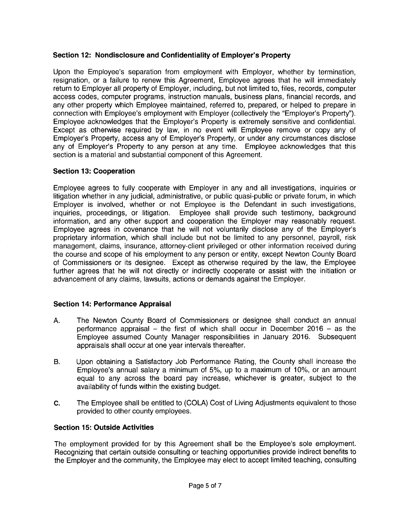## Section 12: Nondisclosure and Confidentiality of Employer's Property

Upon the Employee's separation from employment with Employer, whether by termination, resignation, or a failure to renew this Agreement, Employee agrees that he will immediately return to Employer all property of Employer, including, but not limited to, files, records, computer access codes, computer programs, instruction manuals, business plans, financial records, and any other property which Employee maintained, referred to, prepared, or helped to prepare in connection with Employee's employment with Employer (collectively the "Employer's Property"). Employee acknowledges that the Employer's Property is extremely sensitive and confidential. Except as otherwise required by law, in no event will Employee remove or copy any of Employer's Property, access any of Employer's Property, or under any circumstances disclose any of Employer'<sup>s</sup> Property to any person at any time. Employee acknowledges that this section is a material and substantial component of this Agreement.

## Section 13: Cooperation

Employee agrees to fully cooperate with Employer in any and all investigations, inquiries or litigation whether in any judicial, administrative, or public quasi- public or private forum, in which Employer is involved, whether or not Employee is the Defendant in such investigations, inquiries, proceedings, or litigation. Employee shall provide such testimony, background information, and any other support and cooperation the Employer may reasonably request. Employee agrees in covenance that he will not voluntarily disclose any of the Employer's proprietary information, which shall include but not be limited to any personnel, payroll, risk management, claims, insurance, attorney-client privileged or other information received during the course and scope of his employment to any person or entity, except Newton County Board of Commissioners or its designee. Except as otherwise required by the law, the Employee further agrees that he will not directly or indirectly cooperate or assist with the initiation or advancement of any claims, lawsuits, actions or demands against the Employer.

## Section 14: Performance Appraisal

- A. The Newton County Board of Commissioners or designee shall conduct an annual performance appraisal — the first of which shall occur in December 2016 — as the Employee assumed County Manager responsibilities in January 2016. Subsequent appraisals shall occur at one year intervals thereafter.
- B. Upon obtaining a Satisfactory Job Performance Rating, the County shall increase the Employee's annual salary a minimum of 5%, up to a maximum of 10%, or an amount equal to any across the board pay increase, whichever is greater, subject to the availability of funds within the existing budget.
- C. The Employee shall be entitled to (COLA) Cost of Living Adjustments equivalent to those provided to other county employees.

# Section 15: Outside Activities

The employment provided for by this Agreement shall be the Employee's sole employment. Recognizing that certain outside consulting or teaching opportunities provide indirect benefits to the Employer and the community, the Employee may elect to accept limited teaching, consulting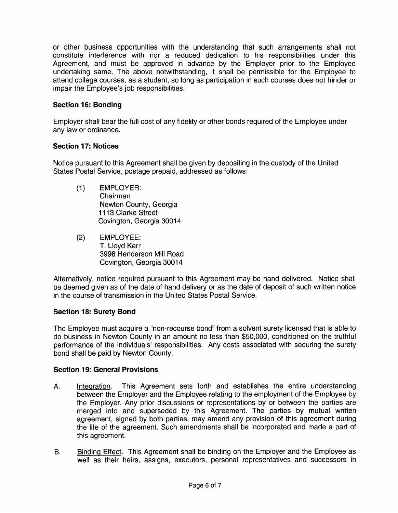or other business opportunities with the understanding that such arrangements shall not constitute interference with nor a reduced dedication to his responsibilities under this Agreement, and must be approved in advance by the Employer prior to the Employee undertaking same. The above notwithstanding, it shall be permissible for the Employee to attend college courses, as a student, so long as participation in such courses does not hinder or impair the Employee's job responsibilities.

# Section 16: Bonding

Employer shall bear the full cost of any fidelity or other bonds required of the Employee under any law or ordinance.

## Section 17: Notices

Notice pursuant to this Agreement shall be given by depositing in the custody of the United States Postal Service, postage prepaid, addressed as follows:

- 1) EMPLOYER: Chairman Newton County, Georgia 1113 Clarke Street Covington, Georgia 30014
- 2) EMPLOYEE: T. Lloyd Kerr 3998 Henderson Mill Road Covington, Georgia 30014

Alternatively, notice required pursuant to this Agreement may be hand delivered. Notice shall be deemed given as of the date of hand delivery or as the date of deposit of such written notice in the course of transmission in the United States Postal Service.

## Section 18: Surety Bond

The Employee must acquire a "non-recourse bond" from a solvent surety licensed that is able to do business in Newton County in an amount no less than \$ 50,000, conditioned on the truthful performance of the individuals' responsibilities. Any costs associated with securing the surety bond shall be paid by Newton County.

## Section 19: General Provisions

- A. Integration. This Agreement sets forth and establishes the entire understanding between the Employer and the Employee relating to the employment of the Employee by the Employer. Any prior discussions or representations by or between the parties are merged into and superseded by this Agreement. The parties by mutual written agreement, signed by both parties, may amend any provision of this agreement during the life of the agreement. Such amendments shall be incorporated and made a part of this agreement.
- B. Binding Effect. This Agreement shall be binding on the Employer and the Employee as well as their heirs, assigns, executors, personal representatives and successors in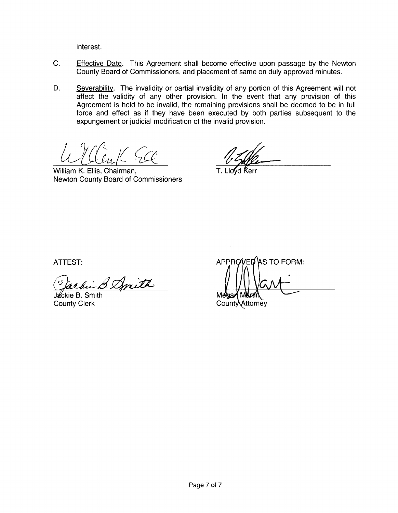interest.

- C. Effective Date. This Agreement shall become effective upon passage by the Newton County Board of Commissioners, and placement of same on duly approved minutes.
- D. Severability. The invalidity or partial invalidity of any portion of this Agreement will not affect the validity of any other provision. In the event that any provision of this Agreement is held to be invalid, the remaining provisions shall be deemed to be in full force and effect as if they have been executed by both parties subsequent to the expungement or judicial modification of the invalid provision.

 $\frac{L}{L}$   $\frac{L}{L}$   $\frac{L}{L}$   $\frac{L}{L}$   $\frac{L}{L}$   $\frac{L}{L}$   $\frac{L}{L}$   $\frac{L}{L}$   $\frac{L}{L}$   $\frac{L}{L}$   $\frac{L}{L}$   $\frac{L}{L}$   $\frac{L}{L}$   $\frac{L}{L}$   $\frac{L}{L}$   $\frac{L}{L}$   $\frac{L}{L}$   $\frac{L}{L}$   $\frac{L}{L}$   $\frac{L}{L}$   $\frac{L}{L}$   $\frac{L}{L}$ 

Newton County Board of Commissioners

 $\beta$  Dmith  $\frac{1}{M_{\odot}}$ 

Jackie B. Smith

ATTEST: APPROVED AS TO FORM:

County Clerk County Clerk County County County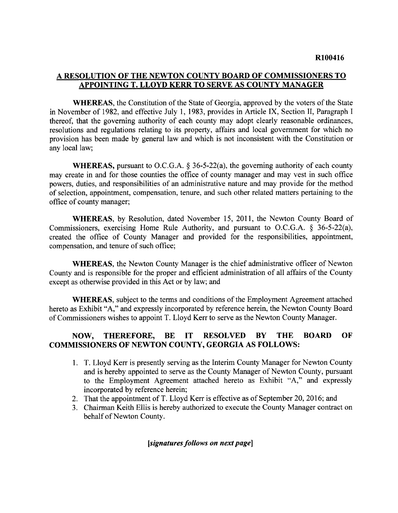# A RESOLUTION OF THE NEWTON COUNTY BOARD OF COMMISSIONERS TO APPOINTING T. LLOYD KERR TO SERVE AS COUNTY MANAGER

WHEREAS, the Constitution of the State of Georgia, approved by the voters of the State in November of 1982, and effective July 1, 1983, provides in Article IX, Section II, Paragraph I thereof, that the governing authority of each county may adopt clearly reasonable ordinances, resolutions and regulations relating to its property, affairs and local government for which no provision has been made by general law and which is not inconsistent with the Constitution or any local law;

WHEREAS, pursuant to O.C.G.A.  $\S$  36-5-22(a), the governing authority of each county may create in and for those counties the office of county manager and may vest in such office powers, duties, and responsibilities of an administrative nature and may provide for the method of selection, appointment, compensation, tenure, and such other related matters pertaining to the office of county manager;

WHEREAS, by Resolution, dated November 15, 2011, the Newton County Board of Commissioners, exercising Home Rule Authority, and pursuant to O.C.G.A.  $\S$  36-5-22(a), created the office of County Manager and provided for the responsibilities, appointment, compensation, and tenure of such office;

WHEREAS, the Newton County Manager is the chief administrative officer of Newton County and is responsible for the proper and efficient administration of all affairs of the County except as otherwise provided in this Act or by law; and

WHEREAS, subject to the terms and conditions of the Employment Agreement attached hereto as Exhibit "A," and expressly incorporated by reference herein, the Newton County Board of Commissioners wishes to appoint T. Lloyd Kerr to serve as the Newton County Manager.

# NOW, THEREFORE, BE IT RESOLVED BY THE BOARD OF COMMISSIONERS OF NEWTON COUNTY, GEORGIA AS FOLLOWS:

- 1. T. Lloyd Kerr is presently serving as the Interim County Manager for Newton County and is hereby appointed to serve as the County Manager of Newton County, pursuant to the Employment Agreement attached hereto as Exhibit "A," and expressly incorporated by reference herein;
- 2. That the appointment of T. Lloyd Kerr is effective as of September 20, 2016; and
- 3. Chairman Keith Ellis is hereby authorized to execute the County Manager contract on behalf of Newton County.

## [signatures follows on next page]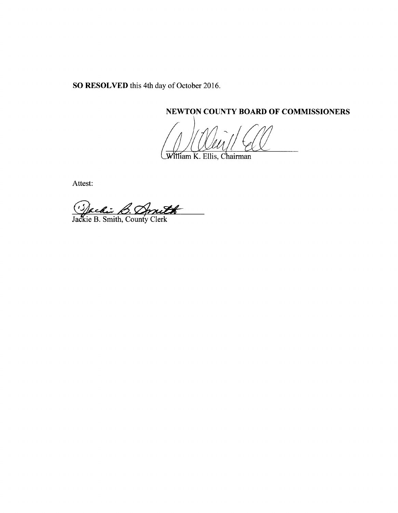SO RESOLVED this 4th day of October 2016.

NEWTON COUNTY BOARD OF COMMISSIONERS

William K. Ellis, Chairman

Attest:

J

Jackie B. Smith, County Clerk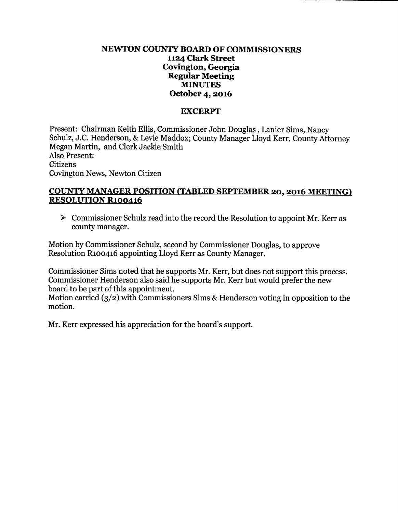# NEWTON COUNTY BOARD OF COMMISSIONERS 1124 Clark Street Covington, Georgia Regular Meeting MINUTES October 4, 2016

## **EXCERPT**

Present: Chairman Keith Ellis, Commissioner John Douglas , Lanier Sims, Nancy Schulz, J.C. Henderson, & Levie Maddox; County Manager Lloyd Kerr, County Attorney Megan Martin, and Clerk Jackie Smith Also Present:

Citizens Covington News, Newton Citizen

# COUNTY MANAGER POSITION (TABLED SEPTEMBER 20, 2016 MEETING) RESOLUTION R100416

 $\triangleright$  Commissioner Schulz read into the record the Resolution to appoint Mr. Kerr as county manager.

Motion by Commissioner Schulz, second by Commissioner Douglas, to approve Resolution Rloo416 appointing Lloyd Kerr as County Manager.

Commissioner Sims noted that he supports Mr. Kerr, but does not support this process. Commissioner Henderson also said he supports Mr. Kerr but would prefer the new board to be part of this appointment.

Motion carried  $(3/2)$  with Commissioners Sims & Henderson voting in opposition to the motion.

Mr. Kerr expressed his appreciation for the board'<sup>s</sup> support.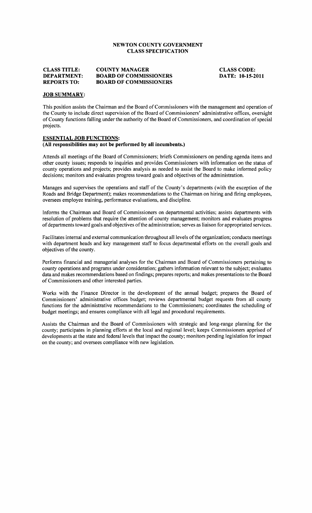## NEWTON COUNTY GOVERNMENT **CLASS SPECIFICATION**

#### **COUNTY MANAGER CLASS TITLE: DEPARTMENT: BOARD OF COMMISSIONERS REPORTS TO: BOARD OF COMMISSIONERS**

**CLASS CODE:** DATE: 10-15-2011

#### **JOB SUMMARY:**

This position assists the Chairman and the Board of Commissioners with the management and operation of the County to include direct supervision of the Board of Commissioners' administrative offices, oversight of County functions falling under the authority of the Board of Commissioners, and coordination of special projects.

#### **ESSENTIAL JOB FUNCTIONS:**

#### (All responsibilities may not be performed by all incumbents.)

Attends all meetings of the Board of Commissioners; briefs Commissioners on pending agenda items and other county issues; responds to inquiries and provides Commissioners with information on the status of county operations and projects; provides analysis as needed to assist the Board to make informed policy decisions; monitors and evaluates progress toward goals and objectives of the administration.

Manages and supervises the operations and staff of the County's departments (with the exception of the Roads and Bridge Department); makes recommendations to the Chairman on hiring and firing employees, oversees employee training, performance evaluations, and discipline.

Informs the Chairman and Board of Commissioners on departmental activities; assists departments with resolution of problems that require the attention of county management; monitors and evaluates progress of departments toward goals and objectives of the administration; serves as liaison for appropriated services.

Facilitates internal and external communication throughout all levels of the organization; conducts meetings with department heads and key management staff to focus departmental efforts on the overall goals and objectives of the county.

Performs financial and managerial analyses for the Chairman and Board of Commissioners pertaining to county operations and programs under consideration; gathers information relevant to the subject; evaluates data and makes recommendations based on findings; prepares reports; and makes presentations to the Board of Commissioners and other interested parties.

Works with the Finance Director in the development of the annual budget; prepares the Board of Commissioners' administrative offices budget; reviews departmental budget requests from all county functions for the administrative recommendations to the Commissioners; coordinates the scheduling of budget meetings; and ensures compliance with all legal and procedural requirements.

Assists the Chairman and the Board of Commissioners with strategic and long-range planning for the county; participates in planning efforts at the local and regional level; keeps Commissioners apprised of developments at the state and federal levels that impact the county; monitors pending legislation for impact on the county; and oversees compliance with new legislation.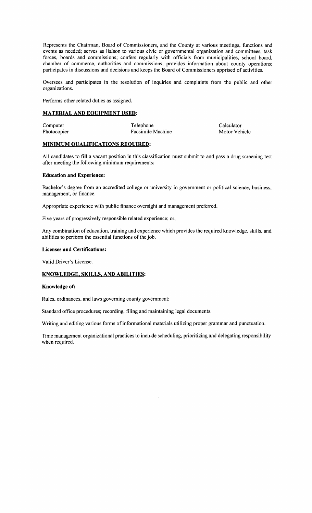Represents the Chairman, Board of Commissioners, and the County at various meetings, functions and events as needed; serves as liaison to various civic or governmental organization and committees, task forces, boards and commissions; confers regularly with officials from municipalities, school board, chamber of commerce, authorities and commissions; provides information about county operations; participates in discussions and decisions and keeps the Board of Commissioners apprised of activities.

Oversees and participates in the resolution of inquiries and complaints from the public and other organizations.

Performs other related duties as assigned.

#### **MATERIAL AND EQUIPMENT USED:**

| Computer    | Telephone         | Calculator    |
|-------------|-------------------|---------------|
| Photocopier | Facsimile Machine | Motor Vehicle |

#### **MINIMUM QUALIFICATIONS REQUIRED:**

All candidates to fill a vacant position in this classification must submit to and pass a drug screening test after meeting the following minimum requirements:

#### **Education and Experience:**

Bachelor's degree from an accredited college or university in government or political science, business, management, or finance.

Appropriate experience with public finance oversight and management preferred.

Five years of progressively responsible related experience; or,

Any combination of education, training and experience which provides the required knowledge, skills, and abilities to perform the essential functions of the job.

#### **Licenses and Certifications:**

Valid Driver's License.

#### **KNOWLEDGE, SKILLS, AND ABILITIES:**

#### Knowledge of:

Rules, ordinances, and laws governing county government;

Standard office procedures; recording, filing and maintaining legal documents.

Writing and editing various forms of informational materials utilizing proper grammar and punctuation.

Time management organizational practices to include scheduling, prioritizing and delegating responsibility when required.